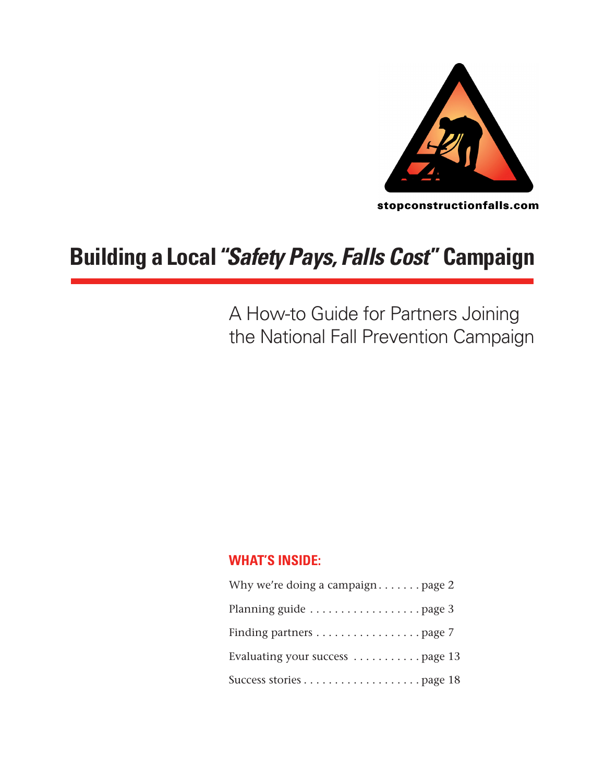

stopconstructionfalls.com

# **Building a Local "***Safety Pays, Falls Cost***"Campaign**

A How-to Guide for Partners Joining the National Fall Prevention Campaign

#### **WHAT'S INSIDE:**

| Why we're doing a campaign page $2$                     |
|---------------------------------------------------------|
| Planning guide $\ldots \ldots \ldots \ldots$ page 3     |
| Finding partners $\ldots \ldots \ldots \ldots$ . page 7 |
| Evaluating your success  page 13                        |
|                                                         |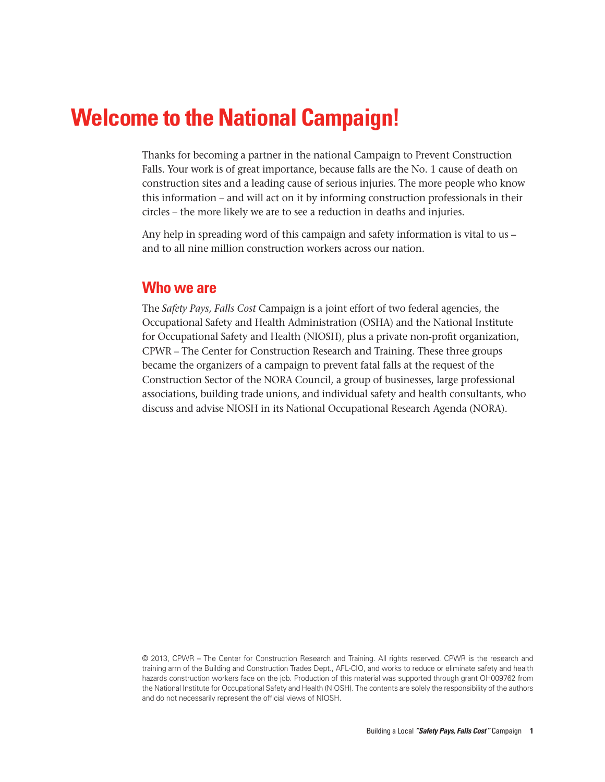## **Welcome to the National Campaign!**

Thanks for becoming a partner in the national Campaign to Prevent Construction Falls. Your work is of great importance, because falls are the No. 1 cause of death on construction sites and a leading cause of serious injuries. The more people who know this information – and will act on it by informing construction professionals in their circles – the more likely we are to see a reduction in deaths and injuries.

Any help in spreading word of this campaign and safety information is vital to us – and to all nine million construction workers across our nation.

#### **Who we are**

The *Safety Pays, Falls Cost* Campaign is a joint effort of two federal agencies, the Occupational Safety and Health Administration (OSHA) and the National Institute for Occupational Safety and Health (NIOSH), plus a private non-profit organization, CPWR – The Center for Construction Research and Training. These three groups became the organizers of a campaign to prevent fatal falls at the request of the Construction Sector of the NORA Council, a group of businesses, large professional associations, building trade unions, and individual safety and health consultants, who discuss and advise NIOSH in its National Occupational Research Agenda (NORA).

© 2013, CPWR – The Center for Construction Research and Training. All rights reserved. CPWR is the research and training arm of the Building and Construction Trades Dept., AFL-CIO, and works to reduce or eliminate safety and health hazards construction workers face on the job. Production of this material was supported through grant OH009762 from the National Institute for Occupational Safety and Health (NIOSH). The contents are solely the responsibility of the authors and do not necessarily represent the official views of NIOSH.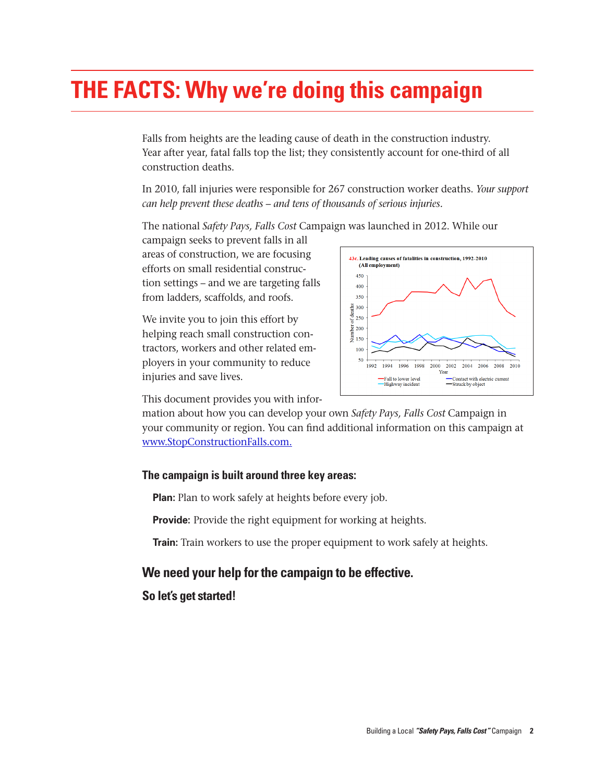# **The Facts: Why we're doing this campaign**

Falls from heights are the leading cause of death in the construction industry. Year after year, fatal falls top the list; they consistently account for one-third of all construction deaths.

In 2010, fall injuries were responsible for 267 construction worker deaths. *Your support can help prevent these deaths – and tens of thousands of serious injuries.* 

The national *Safety Pays, Falls Cost* Campaign was launched in 2012. While our

campaign seeks to prevent falls in all areas of construction, we are focusing efforts on small residential construction settings – and we are targeting falls from ladders, scaffolds, and roofs.

We invite you to join this effort by helping reach small construction contractors, workers and other related employers in your community to reduce injuries and save lives.



This document provides you with infor-

mation about how you can develop your own *Safety Pays, Falls Cost* Campaign in your community or region. You can find additional information on this campaign at www.StopConstructionFalls.com.

#### **The campaign is built around three key areas:**

**Plan:** Plan to work safely at heights before every job.

**Provide:** Provide the right equipment for working at heights.

**Train:** Train workers to use the proper equipment to work safely at heights.

#### **We need your help for the campaign to be effective.**

**So let's get started!**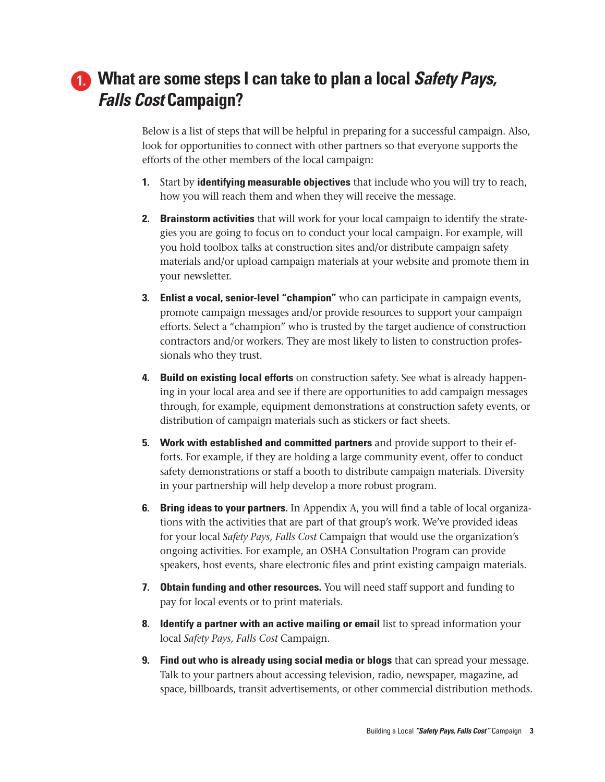## **What are some steps I can take to plan a local** *Safety Pays,* **1.***Falls Cost* **Campaign?**

Below is a list of steps that will be helpful in preparing for a successful campaign. Also, look for opportunities to connect with other partners so that everyone supports the efforts of the other members of the local campaign:

- **1.** Start by **identifying measurable objectives** that include who you will try to reach, how you will reach them and when they will receive the message.
- **2. Brainstorm activities** that will work for your local campaign to identify the strategies you are going to focus on to conduct your local campaign. For example, will you hold toolbox talks at construction sites and/or distribute campaign safety materials and/or upload campaign materials at your website and promote them in your newsletter.
- **3. Enlist a vocal, senior-level "champion"** who can participate in campaign events, promote campaign messages and/or provide resources to support your campaign efforts. Select a "champion" who is trusted by the target audience of construction contractors and/or workers. They are most likely to listen to construction professionals who they trust.
- **4. Build on existing local efforts** on construction safety. See what is already happening in your local area and see if there are opportunities to add campaign messages through, for example, equipment demonstrations at construction safety events, or distribution of campaign materials such as stickers or fact sheets.
- **5. Work with established and committed partners** and provide support to their efforts. For example, if they are holding a large community event, offer to conduct safety demonstrations or staff a booth to distribute campaign materials. Diversity in your partnership will help develop a more robust program.
- **6. Bring ideas to your partners.** In Appendix A, you will find a table of local organizations with the activities that are part of that group's work. We've provided ideas for your local *Safety Pays, Falls Cost* Campaign that would use the organization's ongoing activities. For example, an OSHA Consultation Program can provide speakers, host events, share electronic files and print existing campaign materials.
- **7. Obtain funding and other resources.** You will need staff support and funding to pay for local events or to print materials.
- **8. Identify a partner with an active mailing or email** list to spread information your local *Safety Pays, Falls Cost* Campaign.
- **9. Find out who is already using social media or blogs** that can spread your message. Talk to your partners about accessing television, radio, newspaper, magazine, ad space, billboards, transit advertisements, or other commercial distribution methods.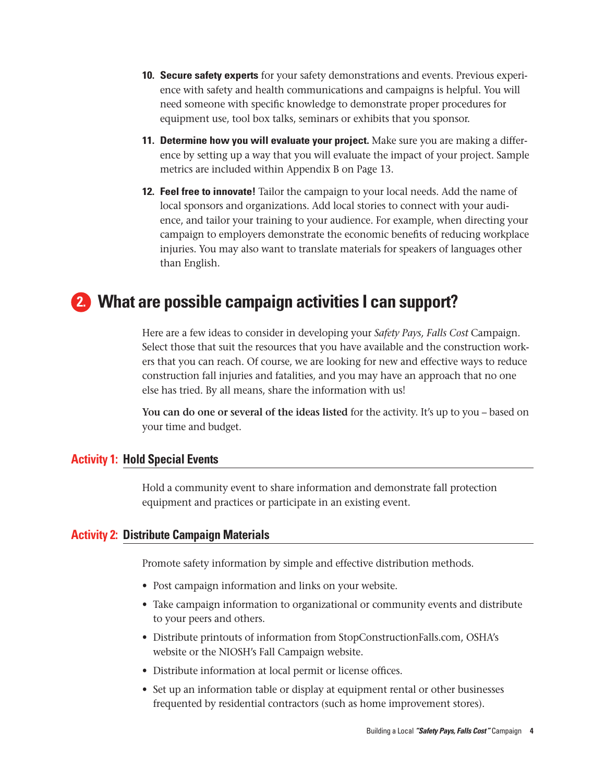- **10. Secure safety experts** for your safety demonstrations and events. Previous experience with safety and health communications and campaigns is helpful. You will need someone with specific knowledge to demonstrate proper procedures for equipment use, tool box talks, seminars or exhibits that you sponsor.
- **11. Determine how you will evaluate your project.** Make sure you are making a difference by setting up a way that you will evaluate the impact of your project. Sample metrics are included within Appendix B on Page 13.
- **12. Feel free to innovate!** Tailor the campaign to your local needs. Add the name of local sponsors and organizations. Add local stories to connect with your audience, and tailor your training to your audience. For example, when directing your campaign to employers demonstrate the economic benefits of reducing workplace injuries. You may also want to translate materials for speakers of languages other than English.

### **What are possible campaign activities I can support? 2.**

Here are a few ideas to consider in developing your *Safety Pays, Falls Cost* Campaign. Select those that suit the resources that you have available and the construction workers that you can reach. Of course, we are looking for new and effective ways to reduce construction fall injuries and fatalities, and you may have an approach that no one else has tried. By all means, share the information with us!

**You can do one or several of the ideas listed** for the activity. It's up to you – based on your time and budget.**s**

#### **Activity 1: Hold Special Events**

Hold a community event to share information and demonstrate fall protection equipment and practices or participate in an existing event.

#### **Activity 2: Distribute Campaign Materials**

Promote safety information by simple and effective distribution methods.

- Post campaign information and links on your website.
- • Take campaign information to organizational or community events and distribute to your peers and others.
- • Distribute printouts of information from StopConstructionFalls.com, OSHA's website or the NIOSH's Fall Campaign website.
- Distribute information at local permit or license offices.
- Set up an information table or display at equipment rental or other businesses frequented by residential contractors (such as home improvement stores).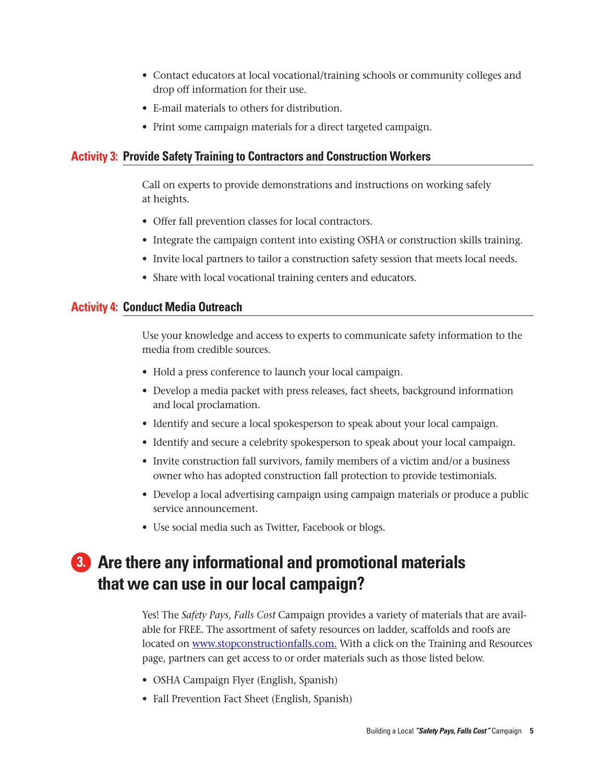- • Contact educators at local vocational/training schools or community colleges and drop off information for their use.
- • E-mail materials to others for distribution.
- Print some campaign materials for a direct targeted campaign.

#### **Activity 3: Provide Safety Training to Contractors and Construction Workers**

Call on experts to provide demonstrations and instructions on working safely at heights.

- Offer fall prevention classes for local contractors.
- • Integrate the campaign content into existing OSHA or construction skills training.
- Invite local partners to tailor a construction safety session that meets local needs.
- Share with local vocational training centers and educators.

#### **Activity 4: Conduct Media Outreach**

Use your knowledge and access to experts to communicate safety information to the media from credible sources.

- Hold a press conference to launch your local campaign.
- • Develop a media packet with press releases, fact sheets, background information and local proclamation.
- Identify and secure a local spokesperson to speak about your local campaign.
- Identify and secure a celebrity spokesperson to speak about your local campaign.
- Invite construction fall survivors, family members of a victim and/or a business owner who has adopted construction fall protection to provide testimonials.
- • Develop a local advertising campaign using campaign materials or produce a public service announcement.
- Use social media such as Twitter, Facebook or blogs.

## **Are there any informational and promotional materials 3.that we can use in our local campaign?**

Yes! The *Safety Pays, Falls Cost* Campaign provides a variety of materials that are available for FREE. The assortment of safety resources on ladder, scaffolds and roofs are located on www.stopconstructionfalls.com. With a click on the Training and Resources page, partners can get access to or order materials such as those listed below.

- OSHA Campaign Flyer (English, Spanish)
- Fall Prevention Fact Sheet (English, Spanish)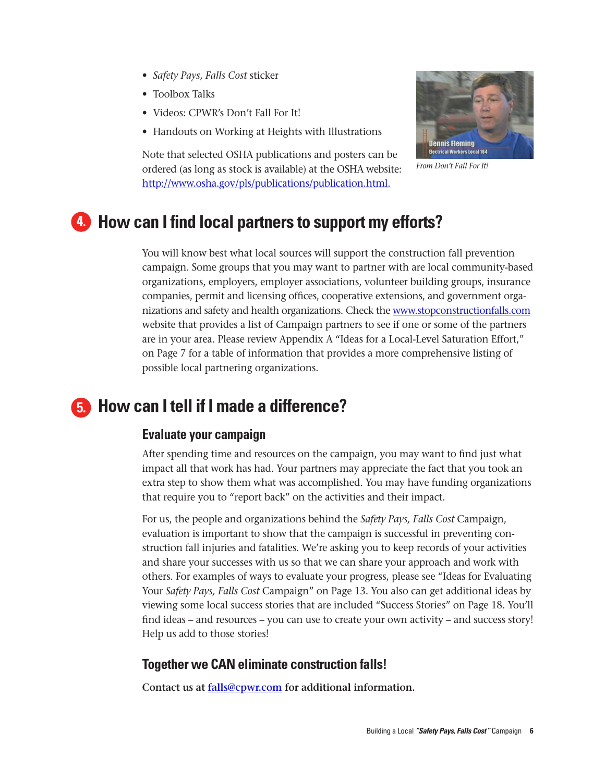- • *Safety Pays, Falls Cost* sticker
- Toolbox Talks
- Videos: CPWR's Don't Fall For It!
- Handouts on Working at Heights with Illustrations



*From Don't Fall For It!*

Note that selected OSHA publications and posters can be ordered (as long as stock is available) at the OSHA website: http://www.osha.gov/pls/publications/publication.html.

### **How can I find local partners to support my efforts? 4.**

You will know best what local sources will support the construction fall prevention campaign. Some groups that you may want to partner with are local community-based organizations, employers, employer associations, volunteer building groups, insurance companies, permit and licensing offices, cooperative extensions, and government organizations and safety and health organizations. Check the www.stopconstructionfalls.com website that provides a list of Campaign partners to see if one or some of the partners are in your area. Please review Appendix A "Ideas for a Local-Level Saturation Effort," on Page 7 for a table of information that provides a more comprehensive listing of possible local partnering organizations.

### **How can I tell if I made a difference?**

#### **Evaluate your campaign**

After spending time and resources on the campaign, you may want to find just what impact all that work has had. Your partners may appreciate the fact that you took an extra step to show them what was accomplished. You may have funding organizations that require you to "report back" on the activities and their impact.

For us, the people and organizations behind the *Safety Pays, Falls Cost* Campaign, evaluation is important to show that the campaign is successful in preventing construction fall injuries and fatalities. We're asking you to keep records of your activities and share your successes with us so that we can share your approach and work with others. For examples of ways to evaluate your progress, please see "Ideas for Evaluating Your *Safety Pays, Falls Cost* Campaign" on Page 13. You also can get additional ideas by viewing some local success stories that are included "Success Stories" on Page 18. You'll find ideas – and resources – you can use to create your own activity – and success story! Help us add to those stories!

#### **Together we CAN eliminate construction falls!**

**Contact us at falls@cpwr.com for additional information.**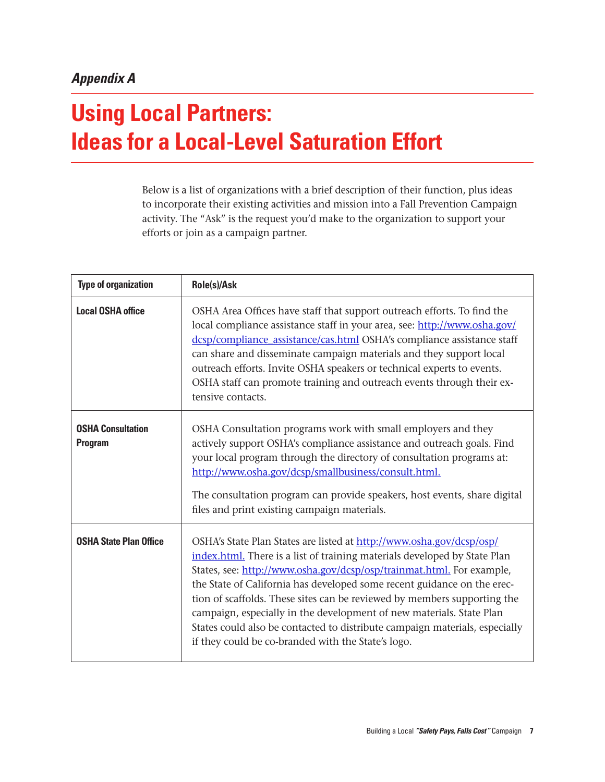# **Using Local Partners: Ideas for a Local-Level Saturation Effort**

Below is a list of organizations with a brief description of their function, plus ideas to incorporate their existing activities and mission into a Fall Prevention Campaign activity. The "Ask" is the request you'd make to the organization to support your efforts or join as a campaign partner.

| <b>Type of organization</b>                | Role(s)/Ask                                                                                                                                                                                                                                                                                                                                                                                                                                                                                                                                                                                    |  |
|--------------------------------------------|------------------------------------------------------------------------------------------------------------------------------------------------------------------------------------------------------------------------------------------------------------------------------------------------------------------------------------------------------------------------------------------------------------------------------------------------------------------------------------------------------------------------------------------------------------------------------------------------|--|
| <b>Local OSHA office</b>                   | OSHA Area Offices have staff that support outreach efforts. To find the<br>local compliance assistance staff in your area, see: http://www.osha.gov/<br>dcsp/compliance_assistance/cas.html OSHA's compliance assistance staff<br>can share and disseminate campaign materials and they support local<br>outreach efforts. Invite OSHA speakers or technical experts to events.<br>OSHA staff can promote training and outreach events through their ex-<br>tensive contacts.                                                                                                                  |  |
| <b>OSHA Consultation</b><br><b>Program</b> | OSHA Consultation programs work with small employers and they<br>actively support OSHA's compliance assistance and outreach goals. Find<br>your local program through the directory of consultation programs at:<br>http://www.osha.gov/dcsp/smallbusiness/consult.html.<br>The consultation program can provide speakers, host events, share digital<br>files and print existing campaign materials.                                                                                                                                                                                          |  |
| <b>OSHA State Plan Office</b>              | OSHA's State Plan States are listed at http://www.osha.gov/dcsp/osp/<br>index.html. There is a list of training materials developed by State Plan<br>States, see: http://www.osha.gov/dcsp/osp/trainmat.html. For example,<br>the State of California has developed some recent guidance on the erec-<br>tion of scaffolds. These sites can be reviewed by members supporting the<br>campaign, especially in the development of new materials. State Plan<br>States could also be contacted to distribute campaign materials, especially<br>if they could be co-branded with the State's logo. |  |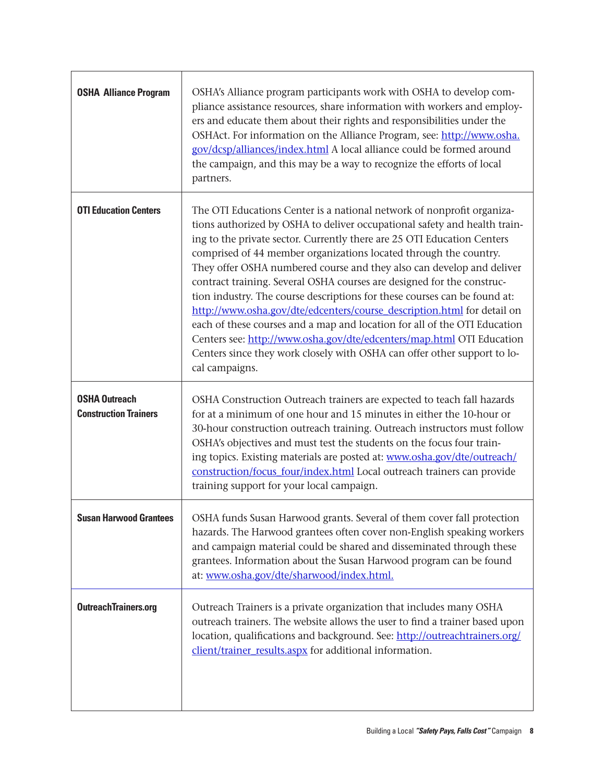| <b>OSHA Alliance Program</b>                         | OSHA's Alliance program participants work with OSHA to develop com-<br>pliance assistance resources, share information with workers and employ-<br>ers and educate them about their rights and responsibilities under the<br>OSHAct. For information on the Alliance Program, see: http://www.osha.<br>gov/dcsp/alliances/index.html A local alliance could be formed around<br>the campaign, and this may be a way to recognize the efforts of local<br>partners.                                                                                                                                                                                                                                                                                                                                                                                                 |
|------------------------------------------------------|--------------------------------------------------------------------------------------------------------------------------------------------------------------------------------------------------------------------------------------------------------------------------------------------------------------------------------------------------------------------------------------------------------------------------------------------------------------------------------------------------------------------------------------------------------------------------------------------------------------------------------------------------------------------------------------------------------------------------------------------------------------------------------------------------------------------------------------------------------------------|
| <b>OTI Education Centers</b>                         | The OTI Educations Center is a national network of nonprofit organiza-<br>tions authorized by OSHA to deliver occupational safety and health train-<br>ing to the private sector. Currently there are 25 OTI Education Centers<br>comprised of 44 member organizations located through the country.<br>They offer OSHA numbered course and they also can develop and deliver<br>contract training. Several OSHA courses are designed for the construc-<br>tion industry. The course descriptions for these courses can be found at:<br>http://www.osha.gov/dte/edcenters/course_description.html for detail on<br>each of these courses and a map and location for all of the OTI Education<br>Centers see: http://www.osha.gov/dte/edcenters/map.html OTI Education<br>Centers since they work closely with OSHA can offer other support to lo-<br>cal campaigns. |
| <b>OSHA Outreach</b><br><b>Construction Trainers</b> | OSHA Construction Outreach trainers are expected to teach fall hazards<br>for at a minimum of one hour and 15 minutes in either the 10-hour or<br>30-hour construction outreach training. Outreach instructors must follow<br>OSHA's objectives and must test the students on the focus four train-<br>ing topics. Existing materials are posted at: www.osha.gov/dte/outreach/<br>construction/focus_four/index.html Local outreach trainers can provide<br>training support for your local campaign.                                                                                                                                                                                                                                                                                                                                                             |
| <b>Susan Harwood Grantees</b>                        | OSHA funds Susan Harwood grants. Several of them cover fall protection<br>hazards. The Harwood grantees often cover non-English speaking workers<br>and campaign material could be shared and disseminated through these<br>grantees. Information about the Susan Harwood program can be found<br>at: www.osha.gov/dte/sharwood/index.html.                                                                                                                                                                                                                                                                                                                                                                                                                                                                                                                        |
| <b>OutreachTrainers.org</b>                          | Outreach Trainers is a private organization that includes many OSHA<br>outreach trainers. The website allows the user to find a trainer based upon<br>location, qualifications and background. See: http://outreachtrainers.org/<br>client/trainer_results.aspx for additional information.                                                                                                                                                                                                                                                                                                                                                                                                                                                                                                                                                                        |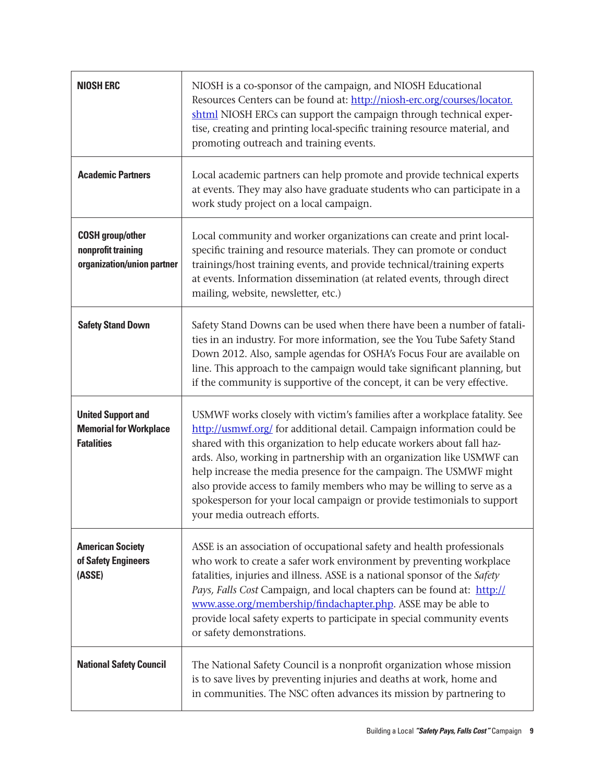| <b>NIOSH ERC</b>                                                                | NIOSH is a co-sponsor of the campaign, and NIOSH Educational<br>Resources Centers can be found at: http://niosh-erc.org/courses/locator.<br>shtml NIOSH ERCs can support the campaign through technical exper-<br>tise, creating and printing local-specific training resource material, and<br>promoting outreach and training events.                                                                                                                                                                                                                            |  |  |
|---------------------------------------------------------------------------------|--------------------------------------------------------------------------------------------------------------------------------------------------------------------------------------------------------------------------------------------------------------------------------------------------------------------------------------------------------------------------------------------------------------------------------------------------------------------------------------------------------------------------------------------------------------------|--|--|
| <b>Academic Partners</b>                                                        | Local academic partners can help promote and provide technical experts<br>at events. They may also have graduate students who can participate in a<br>work study project on a local campaign.                                                                                                                                                                                                                                                                                                                                                                      |  |  |
| <b>COSH</b> group/other<br>nonprofit training<br>organization/union partner     | Local community and worker organizations can create and print local-<br>specific training and resource materials. They can promote or conduct<br>trainings/host training events, and provide technical/training experts<br>at events. Information dissemination (at related events, through direct<br>mailing, website, newsletter, etc.)                                                                                                                                                                                                                          |  |  |
| <b>Safety Stand Down</b>                                                        | Safety Stand Downs can be used when there have been a number of fatali-<br>ties in an industry. For more information, see the You Tube Safety Stand<br>Down 2012. Also, sample agendas for OSHA's Focus Four are available on<br>line. This approach to the campaign would take significant planning, but<br>if the community is supportive of the concept, it can be very effective.                                                                                                                                                                              |  |  |
| <b>United Support and</b><br><b>Memorial for Workplace</b><br><b>Fatalities</b> | USMWF works closely with victim's families after a workplace fatality. See<br>http://usmwf.org/ for additional detail. Campaign information could be<br>shared with this organization to help educate workers about fall haz-<br>ards. Also, working in partnership with an organization like USMWF can<br>help increase the media presence for the campaign. The USMWF might<br>also provide access to family members who may be willing to serve as a<br>spokesperson for your local campaign or provide testimonials to support<br>your media outreach efforts. |  |  |
| <b>American Society</b><br>of Safety Engineers<br>(ASSE)                        | ASSE is an association of occupational safety and health professionals<br>who work to create a safer work environment by preventing workplace<br>fatalities, injuries and illness. ASSE is a national sponsor of the Safety<br>Pays, Falls Cost Campaign, and local chapters can be found at: http://<br>www.asse.org/membership/findachapter.php. ASSE may be able to<br>provide local safety experts to participate in special community events<br>or safety demonstrations.                                                                                     |  |  |
| <b>National Safety Council</b>                                                  | The National Safety Council is a nonprofit organization whose mission<br>is to save lives by preventing injuries and deaths at work, home and<br>in communities. The NSC often advances its mission by partnering to                                                                                                                                                                                                                                                                                                                                               |  |  |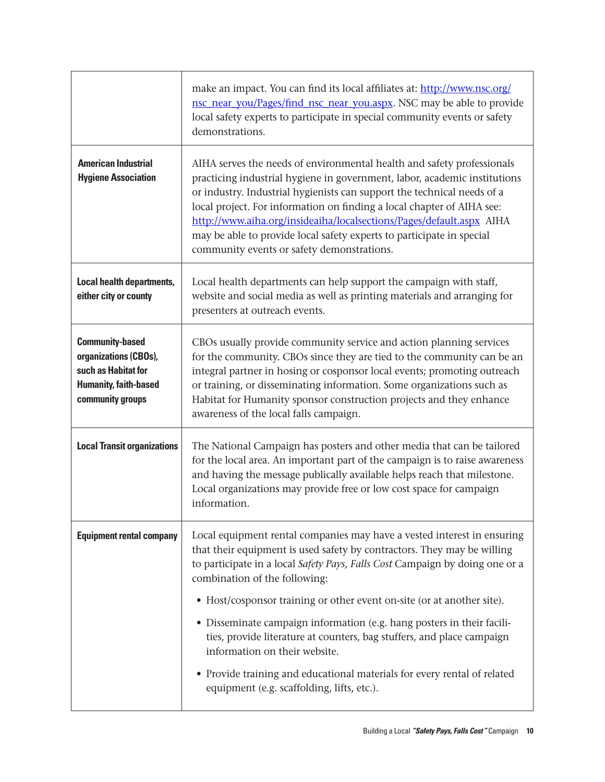|                                                                                                                            | make an impact. You can find its local affiliates at: http://www.nsc.org/<br>nsc_near_you/Pages/find_nsc_near_you.aspx. NSC may be able to provide<br>local safety experts to participate in special community events or safety<br>demonstrations.                                                                                                                                                                                                                                                      |  |  |
|----------------------------------------------------------------------------------------------------------------------------|---------------------------------------------------------------------------------------------------------------------------------------------------------------------------------------------------------------------------------------------------------------------------------------------------------------------------------------------------------------------------------------------------------------------------------------------------------------------------------------------------------|--|--|
| <b>American Industrial</b><br><b>Hygiene Association</b>                                                                   | AIHA serves the needs of environmental health and safety professionals<br>practicing industrial hygiene in government, labor, academic institutions<br>or industry. Industrial hygienists can support the technical needs of a<br>local project. For information on finding a local chapter of AIHA see:<br>http://www.aiha.org/insideaiha/localsections/Pages/default.aspx AIHA<br>may be able to provide local safety experts to participate in special<br>community events or safety demonstrations. |  |  |
| <b>Local health departments,</b><br>either city or county                                                                  | Local health departments can help support the campaign with staff,<br>website and social media as well as printing materials and arranging for<br>presenters at outreach events.                                                                                                                                                                                                                                                                                                                        |  |  |
| <b>Community-based</b><br>organizations (CBOs),<br>such as Habitat for<br><b>Humanity, faith-based</b><br>community groups | CBOs usually provide community service and action planning services<br>for the community. CBOs since they are tied to the community can be an<br>integral partner in hosing or cosponsor local events; promoting outreach<br>or training, or disseminating information. Some organizations such as<br>Habitat for Humanity sponsor construction projects and they enhance<br>awareness of the local falls campaign.                                                                                     |  |  |
| <b>Local Transit organizations</b>                                                                                         | The National Campaign has posters and other media that can be tailored<br>for the local area. An important part of the campaign is to raise awareness<br>and having the message publically available helps reach that milestone.<br>Local organizations may provide free or low cost space for campaign<br>information.                                                                                                                                                                                 |  |  |
| <b>Equipment rental company</b>                                                                                            | Local equipment rental companies may have a vested interest in ensuring<br>that their equipment is used safety by contractors. They may be willing<br>to participate in a local Safety Pays, Falls Cost Campaign by doing one or a<br>combination of the following:<br>• Host/cosponsor training or other event on-site (or at another site).<br>• Disseminate campaign information (e.g. hang posters in their facili-<br>ties, provide literature at counters, bag stuffers, and place campaign       |  |  |
|                                                                                                                            | information on their website.<br>• Provide training and educational materials for every rental of related<br>equipment (e.g. scaffolding, lifts, etc.).                                                                                                                                                                                                                                                                                                                                                 |  |  |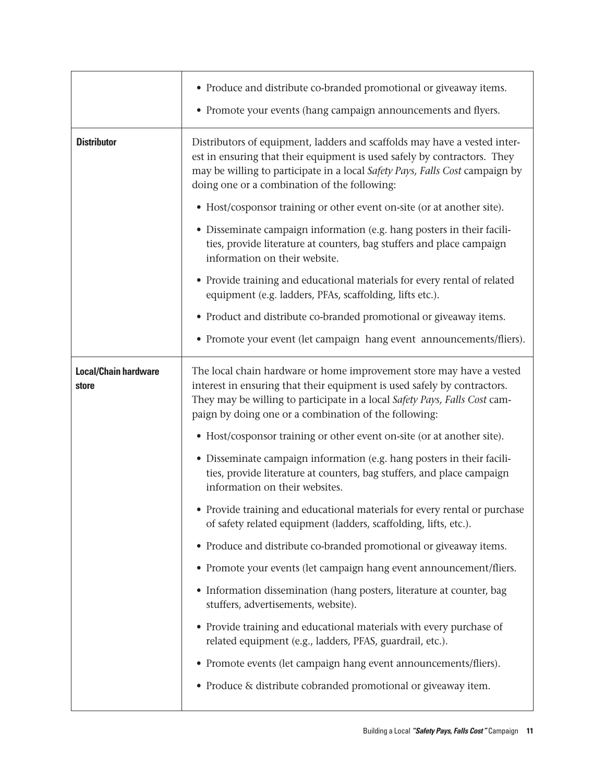|                                      | • Produce and distribute co-branded promotional or giveaway items.<br>• Promote your events (hang campaign announcements and flyers.                                                                                                                                                    |  |  |
|--------------------------------------|-----------------------------------------------------------------------------------------------------------------------------------------------------------------------------------------------------------------------------------------------------------------------------------------|--|--|
| <b>Distributor</b>                   | Distributors of equipment, ladders and scaffolds may have a vested inter-<br>est in ensuring that their equipment is used safely by contractors. They<br>may be willing to participate in a local Safety Pays, Falls Cost campaign by<br>doing one or a combination of the following:   |  |  |
|                                      | • Host/cosponsor training or other event on-site (or at another site).                                                                                                                                                                                                                  |  |  |
|                                      | • Disseminate campaign information (e.g. hang posters in their facili-<br>ties, provide literature at counters, bag stuffers and place campaign<br>information on their website.                                                                                                        |  |  |
|                                      | • Provide training and educational materials for every rental of related<br>equipment (e.g. ladders, PFAs, scaffolding, lifts etc.).                                                                                                                                                    |  |  |
|                                      | • Product and distribute co-branded promotional or giveaway items.                                                                                                                                                                                                                      |  |  |
|                                      | • Promote your event (let campaign hang event announcements/fliers).                                                                                                                                                                                                                    |  |  |
| <b>Local/Chain hardware</b><br>store | The local chain hardware or home improvement store may have a vested<br>interest in ensuring that their equipment is used safely by contractors.<br>They may be willing to participate in a local Safety Pays, Falls Cost cam-<br>paign by doing one or a combination of the following: |  |  |
|                                      | • Host/cosponsor training or other event on-site (or at another site).                                                                                                                                                                                                                  |  |  |
|                                      | • Disseminate campaign information (e.g. hang posters in their facili-<br>ties, provide literature at counters, bag stuffers, and place campaign<br>information on their websites.                                                                                                      |  |  |
|                                      | • Provide training and educational materials for every rental or purchase<br>of safety related equipment (ladders, scaffolding, lifts, etc.).                                                                                                                                           |  |  |
|                                      | • Produce and distribute co-branded promotional or giveaway items.                                                                                                                                                                                                                      |  |  |
|                                      | • Promote your events (let campaign hang event announcement/fliers.                                                                                                                                                                                                                     |  |  |
|                                      | • Information dissemination (hang posters, literature at counter, bag<br>stuffers, advertisements, website).                                                                                                                                                                            |  |  |
|                                      | • Provide training and educational materials with every purchase of<br>related equipment (e.g., ladders, PFAS, guardrail, etc.).                                                                                                                                                        |  |  |
|                                      | • Promote events (let campaign hang event announcements/fliers).                                                                                                                                                                                                                        |  |  |
|                                      | • Produce & distribute cobranded promotional or giveaway item.                                                                                                                                                                                                                          |  |  |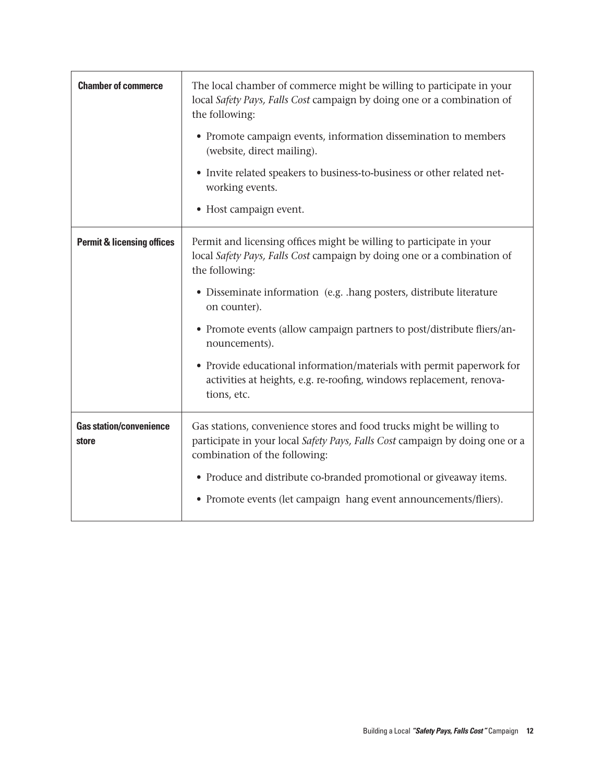| <b>Chamber of commerce</b>              | The local chamber of commerce might be willing to participate in your<br>local Safety Pays, Falls Cost campaign by doing one or a combination of<br>the following:<br>• Promote campaign events, information dissemination to members<br>(website, direct mailing).<br>• Invite related speakers to business-to-business or other related net-<br>working events.<br>• Host campaign event.                                                                                                                           |
|-----------------------------------------|-----------------------------------------------------------------------------------------------------------------------------------------------------------------------------------------------------------------------------------------------------------------------------------------------------------------------------------------------------------------------------------------------------------------------------------------------------------------------------------------------------------------------|
| <b>Permit &amp; licensing offices</b>   | Permit and licensing offices might be willing to participate in your<br>local Safety Pays, Falls Cost campaign by doing one or a combination of<br>the following:<br>• Disseminate information (e.g. .hang posters, distribute literature<br>on counter).<br>• Promote events (allow campaign partners to post/distribute fliers/an-<br>nouncements).<br>• Provide educational information/materials with permit paperwork for<br>activities at heights, e.g. re-roofing, windows replacement, renova-<br>tions, etc. |
| <b>Gas station/convenience</b><br>store | Gas stations, convenience stores and food trucks might be willing to<br>participate in your local Safety Pays, Falls Cost campaign by doing one or a<br>combination of the following:<br>• Produce and distribute co-branded promotional or giveaway items.<br>• Promote events (let campaign hang event announcements/fliers).                                                                                                                                                                                       |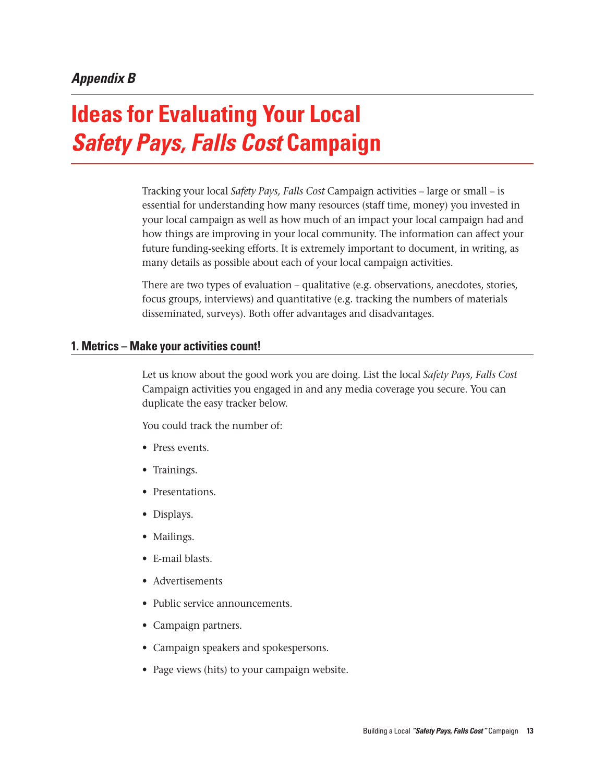# **Ideas for Evaluating Your Local**  *Safety Pays, Falls Cost* **Campaign**

Tracking your local *Safety Pays, Falls Cost* Campaign activities – large or small – is essential for understanding how many resources (staff time, money) you invested in your local campaign as well as how much of an impact your local campaign had and how things are improving in your local community. The information can affect your future funding-seeking efforts. It is extremely important to document, in writing, as many details as possible about each of your local campaign activities.

There are two types of evaluation – qualitative (e.g. observations, anecdotes, stories, focus groups, interviews) and quantitative (e.g. tracking the numbers of materials disseminated, surveys). Both offer advantages and disadvantages.

#### **1. Metrics – Make your activities count!**

Let us know about the good work you are doing. List the local *Safety Pays, Falls Cost* Campaign activities you engaged in and any media coverage you secure. You can duplicate the easy tracker below.

You could track the number of:

- Press events.
- Trainings.
- Presentations.
- Displays.
- Mailings.
- • E-mail blasts.
- Advertisements
- Public service announcements.
- • Campaign partners.
- Campaign speakers and spokespersons.
- Page views (hits) to your campaign website.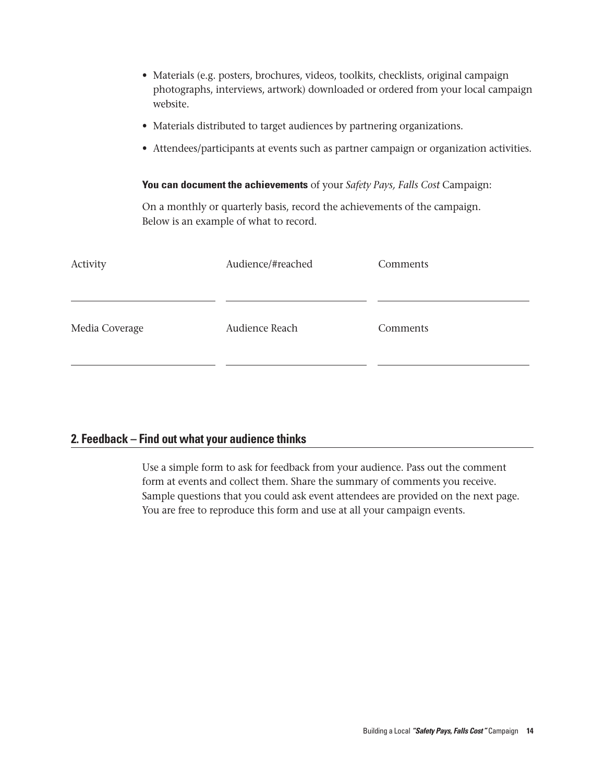- Materials (e.g. posters, brochures, videos, toolkits, checklists, original campaign photographs, interviews, artwork) downloaded or ordered from your local campaign website.
- Materials distributed to target audiences by partnering organizations.
- • Attendees/participants at events such as partner campaign or organization activities.

#### **You can document the achievements** of your *Safety Pays, Falls Cost* Campaign:

On a monthly or quarterly basis, record the achievements of the campaign. Below is an example of what to record.

| Activity       | Audience/#reached | Comments |
|----------------|-------------------|----------|
| Media Coverage | Audience Reach    | Comments |
|                |                   |          |

#### **2. Feedback – Find out what your audience thinks**

Use a simple form to ask for feedback from your audience. Pass out the comment form at events and collect them. Share the summary of comments you receive. Sample questions that you could ask event attendees are provided on the next page. You are free to reproduce this form and use at all your campaign events.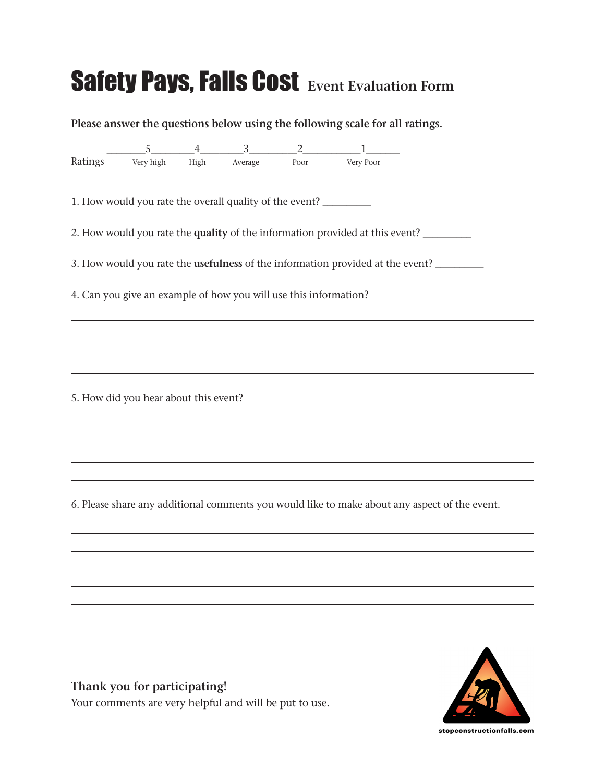# Safety Pays, Falls Cost **Event Evaluation Form**

**Please answer the questions below using the following scale for all ratings.**  $5 \t 4 \t 3 \t 2 \t 1 \t 1$ Ratings Very high High Average Poor Very Poor 1. How would you rate the overall quality of the event? \_\_\_\_\_\_\_\_\_\_\_\_\_\_\_\_\_\_\_\_\_\_\_\_ 2. How would you rate the **quality** of the information provided at this event? \_\_\_\_\_\_\_\_\_\_ 3. How would you rate the **usefulness** of the information provided at the event? \_\_\_\_\_\_\_\_\_\_ 4. Can you give an example of how you will use this information? 5. How did you hear about this event? 6. Please share any additional comments you would like to make about any aspect of the event.



**Thank you for participating!** Your comments are very helpful and will be put to use.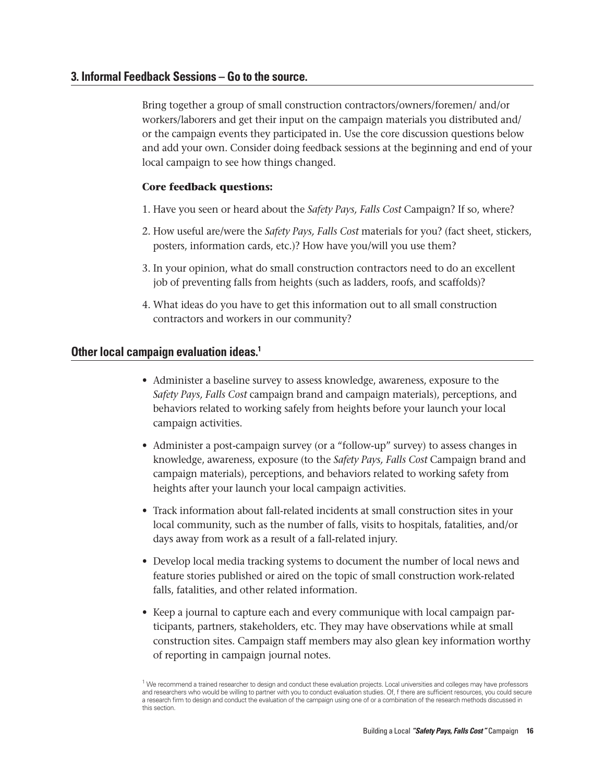#### **3. Informal Feedback Sessions – Go to the source.**

Bring together a group of small construction contractors/owners/foremen/ and/or workers/laborers and get their input on the campaign materials you distributed and/ or the campaign events they participated in. Use the core discussion questions below and add your own. Consider doing feedback sessions at the beginning and end of your local campaign to see how things changed.

#### **Core feedback questions:**

- 1. Have you seen or heard about the *Safety Pays, Falls Cost* Campaign? If so, where?
- 2. How useful are/were the *Safety Pays, Falls Cost* materials for you? (fact sheet, stickers, posters, information cards, etc.)? How have you/will you use them?
- 3. In your opinion, what do small construction contractors need to do an excellent job of preventing falls from heights (such as ladders, roofs, and scaffolds)?
- 4. What ideas do you have to get this information out to all small construction contractors and workers in our community?

#### **Other local campaign evaluation ideas.1**

- Administer a baseline survey to assess knowledge, awareness, exposure to the *Safety Pays, Falls Cost* campaign brand and campaign materials), perceptions, and behaviors related to working safely from heights before your launch your local campaign activities.
- • Administer a post-campaign survey (or a "follow-up" survey) to assess changes in knowledge, awareness, exposure (to the *Safety Pays, Falls Cost* Campaign brand and campaign materials), perceptions, and behaviors related to working safety from heights after your launch your local campaign activities.
- • Track information about fall-related incidents at small construction sites in your local community, such as the number of falls, visits to hospitals, fatalities, and/or days away from work as a result of a fall-related injury.
- • Develop local media tracking systems to document the number of local news and feature stories published or aired on the topic of small construction work-related falls, fatalities, and other related information.
- Keep a journal to capture each and every communique with local campaign participants, partners, stakeholders, etc. They may have observations while at small construction sites. Campaign staff members may also glean key information worthy of reporting in campaign journal notes.

 $1$  We recommend a trained researcher to design and conduct these evaluation projects. Local universities and colleges may have professors and researchers who would be willing to partner with you to conduct evaluation studies. Of, f there are sufficient resources, you could secure a research firm to design and conduct the evaluation of the campaign using one of or a combination of the research methods discussed in this section.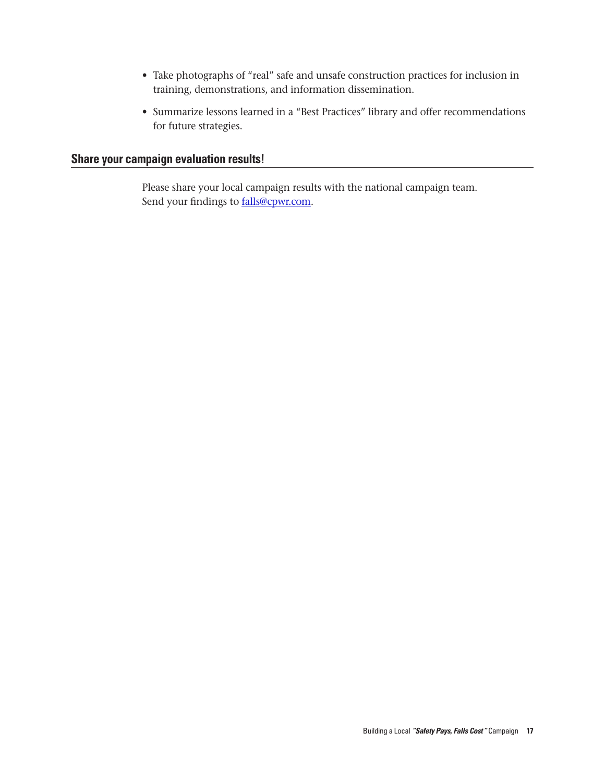- Take photographs of "real" safe and unsafe construction practices for inclusion in training, demonstrations, and information dissemination.
- Summarize lessons learned in a "Best Practices" library and offer recommendations for future strategies.

#### **Share your campaign evaluation results!**

Please share your local campaign results with the national campaign team. Send your findings to **falls@cpwr.com**.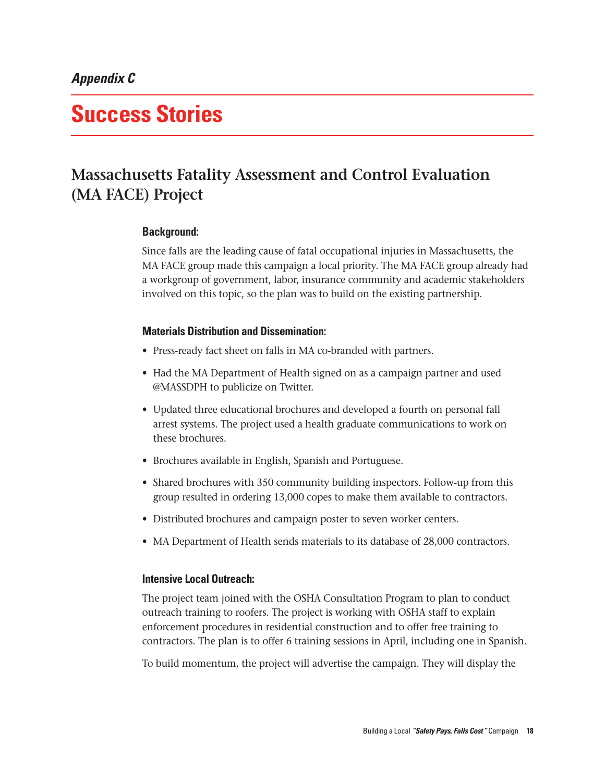## **Success Stories**

### **Massachusetts Fatality Assessment and Control Evaluation (MA FACE) Project**

#### **Background:**

Since falls are the leading cause of fatal occupational injuries in Massachusetts, the MA FACE group made this campaign a local priority. The MA FACE group already had a workgroup of government, labor, insurance community and academic stakeholders involved on this topic, so the plan was to build on the existing partnership.

#### **Materials Distribution and Dissemination:**

- Press-ready fact sheet on falls in MA co-branded with partners.
- Had the MA Department of Health signed on as a campaign partner and used @MASSDPH to publicize on Twitter.
- • Updated three educational brochures and developed a fourth on personal fall arrest systems. The project used a health graduate communications to work on these brochures.
- Brochures available in English, Spanish and Portuguese.
- Shared brochures with 350 community building inspectors. Follow-up from this group resulted in ordering 13,000 copes to make them available to contractors.
- Distributed brochures and campaign poster to seven worker centers.
- MA Department of Health sends materials to its database of 28,000 contractors.

#### **Intensive Local Outreach:**

The project team joined with the OSHA Consultation Program to plan to conduct outreach training to roofers. The project is working with OSHA staff to explain enforcement procedures in residential construction and to offer free training to contractors. The plan is to offer 6 training sessions in April, including one in Spanish.

To build momentum, the project will advertise the campaign. They will display the